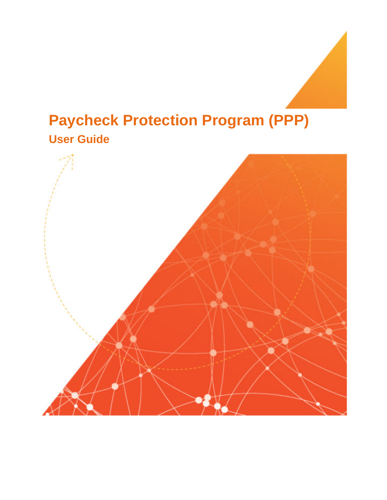# **Paycheck Protection Program (PPP) User Guide**

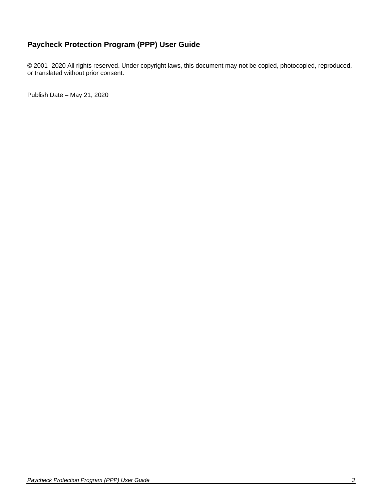### **Paycheck Protection Program (PPP) User Guide**

© 2001- 2020 All rights reserved. Under copyright laws, this document may not be copied, photocopied, reproduced, or translated without prior consent.

Publish Date – May 21, 2020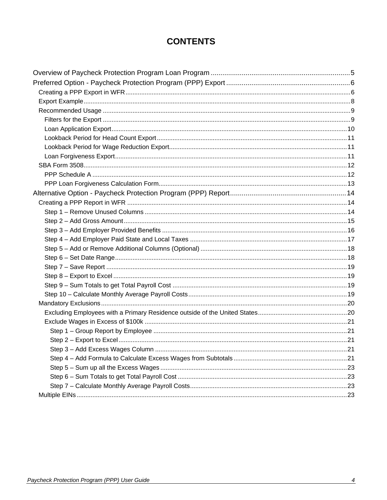# **CONTENTS**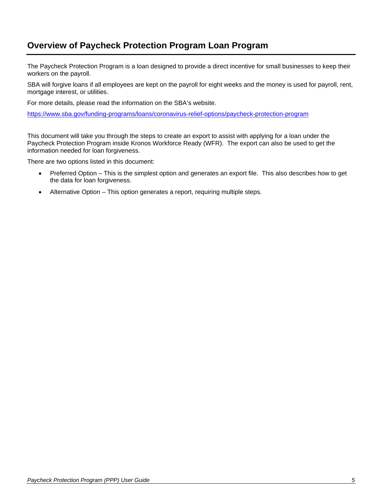# <span id="page-3-0"></span>**Overview of Paycheck Protection Program Loan Program**

The Paycheck Protection Program is a loan designed to provide a direct incentive for small businesses to keep their workers on the payroll.

SBA will forgive loans if all employees are kept on the payroll for eight weeks and the money is used for payroll, rent, mortgage interest, or utilities.

For more details, please read the information on the SBA's website.

<https://www.sba.gov/funding-programs/loans/coronavirus-relief-options/paycheck-protection-program>

This document will take you through the steps to create an export to assist with applying for a loan under the Paycheck Protection Program inside Kronos Workforce Ready (WFR). The export can also be used to get the information needed for loan forgiveness.

There are two options listed in this document:

- Preferred Option This is the simplest option and generates an export file. This also describes how to get the data for loan forgiveness.
- Alternative Option This option generates a report, requiring multiple steps.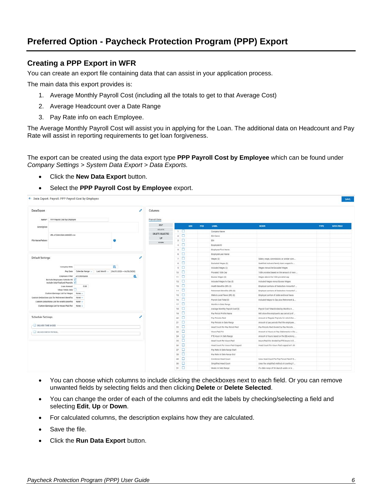# <span id="page-4-0"></span>**Preferred Option - Paycheck Protection Program (PPP) Export**

### <span id="page-4-1"></span>**Creating a PPP Export in WFR**

You can create an export file containing data that can assist in your application process.

The main data this export provides is:

- 1. Average Monthly Payroll Cost (including all the totals to get to that Average Cost)
- 2. Average Headcount over a Date Range
- 3. Pay Rate info on each Employee.

The Average Monthly Payroll Cost will assist you in applying for the Loan. The additional data on Headcount and Pay Rate will assist in reporting requirements to get loan forgiveness.

The export can be created using the data export type **PPP Payroll Cost by Employee** which can be found under *Company Settings > System Data Export > Data Exports.* 

- Click the **New Data Export** button.
- Select the **PPP Payroll Cost by Employee** export.



- You can choose which columns to include clicking the checkboxes next to each field. Or you can remove unwanted fields by selecting fields and then clicking **Delete** or **Delete Selected**.
- You can change the order of each of the columns and edit the labels by checking/selecting a field and selecting **Edit**, **Up** or **Down**.
- For calculated columns, the description explains how they are calculated.
- Save the file.
- Click the **Run Data Export** button.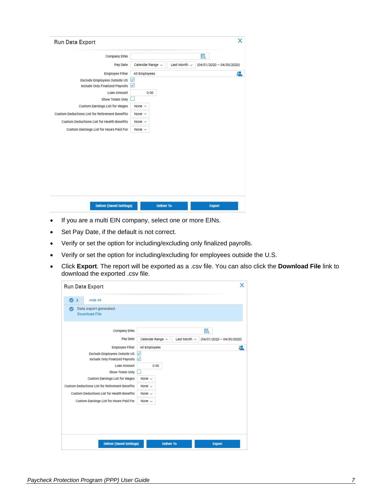| Run Data Export                                |                   |                   |                             |
|------------------------------------------------|-------------------|-------------------|-----------------------------|
| Company EINs                                   |                   |                   | 囻                           |
| Pay Date                                       | Calendar Range v  | Last Month $\sim$ | $(04/01/2020 - 04/30/2020)$ |
| Employee Filter                                | All Employees     |                   | 処                           |
| Exclude Employees Outside US                   | ☑                 |                   |                             |
| Include Only Finalized Payrolls                | ✓                 |                   |                             |
| Loan Amount                                    | 0.00              |                   |                             |
| Show Totals Only                               |                   |                   |                             |
| Custom Earnings List for Wages                 | None $\sim$       |                   |                             |
| Custom Deductions List for Retirement Benefits | None $\sim$       |                   |                             |
| Custom Deductions List for Health Benefits     | None $\sim$       |                   |                             |
| Custom Earnings List for Hours Paid For        | None $\sim$       |                   |                             |
|                                                |                   |                   |                             |
| <b>Deliver (Saved Settings)</b>                | <b>Deliver To</b> |                   | <b>Export</b>               |

- If you are a multi EIN company, select one or more EINs.
- Set Pay Date, if the default is not correct.
- Verify or set the option for including/excluding only finalized payrolls.
- Verify or set the option for including/excluding for employees outside the U.S.
- Click **Export**. The report will be exported as a .csv file. You can also click the **Download File** link to download the exported .csv file.

| Run Data Export                                          | x                                                                    |
|----------------------------------------------------------|----------------------------------------------------------------------|
| Hide All<br>$\bullet$<br>$\overline{2}$                  |                                                                      |
| Data export generated.<br>$\sim$<br><b>Download File</b> |                                                                      |
| Company EINs                                             | R                                                                    |
| Pay Date                                                 | Calendar Range ~<br>Last Month $\sim$<br>$(04/01/2020 - 04/30/2020)$ |
| <b>Employee Filter</b>                                   | All Employees<br><u>u</u>                                            |
| Exclude Employees Outside US √                           |                                                                      |
| Include Only Finalized Payrolls                          | ⊻                                                                    |
| Loan Amount                                              | 0.00                                                                 |
| Show Totals Only                                         |                                                                      |
| Custom Earnings List for Wages                           | None $\sim$                                                          |
| Custom Deductions List for Retirement Benefits           | None $\sim$                                                          |
| Custom Deductions List for Health Benefits               | None $\sim$                                                          |
| Custom Earnings List for Hours Paid For                  | None $\sim$                                                          |
|                                                          |                                                                      |
| <b>Deliver (Saved Settings)</b>                          | <b>Deliver To</b><br><b>Export</b>                                   |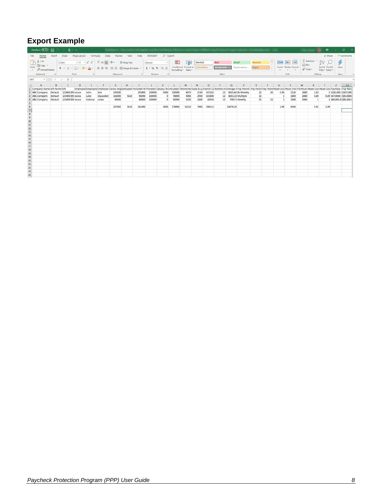## <span id="page-6-0"></span>**Export Example**

| O Search<br>Review View Help<br>B Share □ Comments<br>Home<br>Data<br>ACROBAT<br>Insert<br>Draw<br>Page Layout<br>Formulas<br>$\Sigma$ AutoSum - $\frac{1}{2}$ $\heartsuit$ $\oslash$<br><b>C</b> h A Cut<br>$\boldsymbol{\phi}$<br>Calibri<br>$\cdot$  11 $\cdot$ A <sup>*</sup> A <sup>*</sup> $\equiv \equiv \equiv$ $\gg$ $\cdot$   {& Wrap Text<br>墨家<br>Ħ<br><b>IES</b><br>General<br>國<br>Good<br>Neutral<br>Normal<br>Bad<br>$\Box$ Fili-<br>Dopy .<br>Check Cell<br>Sort & Find &<br>Insert Delete Format<br>Explanatory Input<br>Ideas<br>Paste<br>$O$ Clear -<br>- SFormat Painter<br>Filter - Select -<br>Clipboard<br>Alignment G<br>$\overline{z}$<br>Font<br>Cells<br>Ideas<br>and the first<br>Number<br><b>Styles</b><br>Editing<br>$\overline{15}$<br>$\mathcal{F}$ $\mathbb{R}$ $\times$ $\mathcal{V}$ $\mathcal{F}$<br>AAT<br>B<br>$\mathbf{C}$<br>D<br><b>H</b><br>N<br>P.<br>V.<br>W<br>$AA =$<br>A<br>E<br>$\kappa$<br>M<br>$\circ$<br>$\alpha$<br>R<br>S<br>u<br>$\mathbf{x}$<br>$\mathbb{Z}$<br>G<br>Y.<br>Employee Employee Employee Employee 1Gross Wag Excluded included W Prorated J Excess Wa included V Retiremer State & Lo Payroll Co Months In Average N Pay Period (Pay Period Pay Period Head Coui Hours Head Coui Head Coui H<br>1 Company Name EIN Name EIN<br>2 ABC Company Default 123456789 xxxxx<br>3150<br>12 8935.42 Bi-Weekly<br>26<br>0.96<br>John<br>Doe<br>105000<br>105000<br>100000<br>5000<br>100000<br>107225<br>25<br>2120<br>2080<br>1 \$102,000.(\$107,000.)<br>4075<br>1.02<br>Default<br>123456789 XXXXX<br>$\circ$<br>4000<br>2950<br>103840<br>12 8653.33 Multiple<br>32<br>1850<br>2080<br>0.89 \$47,0000 / \$50,0000<br>3 ABC Company<br>Luke<br>Skywalker<br>102000<br>5110<br>96890<br>100000<br>96890<br>1<br>0.89<br>52<br>1800<br>3250<br>85050<br>52<br>2080<br>2080<br>4 ABC Company Default 123456789 xxxxx<br>Indiana<br>80000<br>100000<br>$\Omega$<br>\$0000<br>12 7087.5 Weekly<br>1 \$80,000.0(\$80,000.0)<br>Jones<br>80000<br>$\mathbf{1}$<br>$\begin{array}{c} 6 \\ 7 \end{array} \begin{array}{c} 8 \\ 9 \end{array} \begin{array}{c} 9 \\ 10 \\ 11 \end{array} \begin{array}{c} 11 \\ 12 \\ 13 \end{array} \begin{array}{c} 13 \\ 14 \\ 15 \end{array} \begin{array}{c} 15 \\ 10 \\ 11 \end{array} \begin{array}{c} 13 \\ 12 \\ 13 \end{array} \begin{array}{c} 23 \\ 23 \\ 24 \end{array} \begin{array}{c} 24 \\ 25 \end{array}$<br>5110<br>281890<br>287000<br>5000<br>276890<br>11325<br>7900<br>296115<br>24676.25<br>2.96<br>6050<br>2.91<br>2.89 | AutoSave (C Off) | 一つ一番・キ |  |  |  |  |  |  |  |  |  |  | 團 | $\Box$ |  |
|---------------------------------------------------------------------------------------------------------------------------------------------------------------------------------------------------------------------------------------------------------------------------------------------------------------------------------------------------------------------------------------------------------------------------------------------------------------------------------------------------------------------------------------------------------------------------------------------------------------------------------------------------------------------------------------------------------------------------------------------------------------------------------------------------------------------------------------------------------------------------------------------------------------------------------------------------------------------------------------------------------------------------------------------------------------------------------------------------------------------------------------------------------------------------------------------------------------------------------------------------------------------------------------------------------------------------------------------------------------------------------------------------------------------------------------------------------------------------------------------------------------------------------------------------------------------------------------------------------------------------------------------------------------------------------------------------------------------------------------------------------------------------------------------------------------------------------------------------------------------------------------------------------------------------------------------------------------------------------------------------------------------------------------------------------------------------------------------------------------------------------------------------------------------------------------------------------------------------------------------------------------------------------------------------------------------------------------------------------------------------------------------------------------------------------------------------------------------------------------------------------------------------------------|------------------|--------|--|--|--|--|--|--|--|--|--|--|---|--------|--|
|                                                                                                                                                                                                                                                                                                                                                                                                                                                                                                                                                                                                                                                                                                                                                                                                                                                                                                                                                                                                                                                                                                                                                                                                                                                                                                                                                                                                                                                                                                                                                                                                                                                                                                                                                                                                                                                                                                                                                                                                                                                                                                                                                                                                                                                                                                                                                                                                                                                                                                                                       |                  |        |  |  |  |  |  |  |  |  |  |  |   |        |  |
|                                                                                                                                                                                                                                                                                                                                                                                                                                                                                                                                                                                                                                                                                                                                                                                                                                                                                                                                                                                                                                                                                                                                                                                                                                                                                                                                                                                                                                                                                                                                                                                                                                                                                                                                                                                                                                                                                                                                                                                                                                                                                                                                                                                                                                                                                                                                                                                                                                                                                                                                       |                  |        |  |  |  |  |  |  |  |  |  |  |   |        |  |
|                                                                                                                                                                                                                                                                                                                                                                                                                                                                                                                                                                                                                                                                                                                                                                                                                                                                                                                                                                                                                                                                                                                                                                                                                                                                                                                                                                                                                                                                                                                                                                                                                                                                                                                                                                                                                                                                                                                                                                                                                                                                                                                                                                                                                                                                                                                                                                                                                                                                                                                                       |                  |        |  |  |  |  |  |  |  |  |  |  |   |        |  |
|                                                                                                                                                                                                                                                                                                                                                                                                                                                                                                                                                                                                                                                                                                                                                                                                                                                                                                                                                                                                                                                                                                                                                                                                                                                                                                                                                                                                                                                                                                                                                                                                                                                                                                                                                                                                                                                                                                                                                                                                                                                                                                                                                                                                                                                                                                                                                                                                                                                                                                                                       |                  |        |  |  |  |  |  |  |  |  |  |  |   |        |  |
|                                                                                                                                                                                                                                                                                                                                                                                                                                                                                                                                                                                                                                                                                                                                                                                                                                                                                                                                                                                                                                                                                                                                                                                                                                                                                                                                                                                                                                                                                                                                                                                                                                                                                                                                                                                                                                                                                                                                                                                                                                                                                                                                                                                                                                                                                                                                                                                                                                                                                                                                       |                  |        |  |  |  |  |  |  |  |  |  |  |   |        |  |
|                                                                                                                                                                                                                                                                                                                                                                                                                                                                                                                                                                                                                                                                                                                                                                                                                                                                                                                                                                                                                                                                                                                                                                                                                                                                                                                                                                                                                                                                                                                                                                                                                                                                                                                                                                                                                                                                                                                                                                                                                                                                                                                                                                                                                                                                                                                                                                                                                                                                                                                                       |                  |        |  |  |  |  |  |  |  |  |  |  |   |        |  |
|                                                                                                                                                                                                                                                                                                                                                                                                                                                                                                                                                                                                                                                                                                                                                                                                                                                                                                                                                                                                                                                                                                                                                                                                                                                                                                                                                                                                                                                                                                                                                                                                                                                                                                                                                                                                                                                                                                                                                                                                                                                                                                                                                                                                                                                                                                                                                                                                                                                                                                                                       |                  |        |  |  |  |  |  |  |  |  |  |  |   |        |  |
|                                                                                                                                                                                                                                                                                                                                                                                                                                                                                                                                                                                                                                                                                                                                                                                                                                                                                                                                                                                                                                                                                                                                                                                                                                                                                                                                                                                                                                                                                                                                                                                                                                                                                                                                                                                                                                                                                                                                                                                                                                                                                                                                                                                                                                                                                                                                                                                                                                                                                                                                       |                  |        |  |  |  |  |  |  |  |  |  |  |   |        |  |
|                                                                                                                                                                                                                                                                                                                                                                                                                                                                                                                                                                                                                                                                                                                                                                                                                                                                                                                                                                                                                                                                                                                                                                                                                                                                                                                                                                                                                                                                                                                                                                                                                                                                                                                                                                                                                                                                                                                                                                                                                                                                                                                                                                                                                                                                                                                                                                                                                                                                                                                                       |                  |        |  |  |  |  |  |  |  |  |  |  |   |        |  |
|                                                                                                                                                                                                                                                                                                                                                                                                                                                                                                                                                                                                                                                                                                                                                                                                                                                                                                                                                                                                                                                                                                                                                                                                                                                                                                                                                                                                                                                                                                                                                                                                                                                                                                                                                                                                                                                                                                                                                                                                                                                                                                                                                                                                                                                                                                                                                                                                                                                                                                                                       |                  |        |  |  |  |  |  |  |  |  |  |  |   |        |  |
|                                                                                                                                                                                                                                                                                                                                                                                                                                                                                                                                                                                                                                                                                                                                                                                                                                                                                                                                                                                                                                                                                                                                                                                                                                                                                                                                                                                                                                                                                                                                                                                                                                                                                                                                                                                                                                                                                                                                                                                                                                                                                                                                                                                                                                                                                                                                                                                                                                                                                                                                       |                  |        |  |  |  |  |  |  |  |  |  |  |   |        |  |
|                                                                                                                                                                                                                                                                                                                                                                                                                                                                                                                                                                                                                                                                                                                                                                                                                                                                                                                                                                                                                                                                                                                                                                                                                                                                                                                                                                                                                                                                                                                                                                                                                                                                                                                                                                                                                                                                                                                                                                                                                                                                                                                                                                                                                                                                                                                                                                                                                                                                                                                                       |                  |        |  |  |  |  |  |  |  |  |  |  |   |        |  |
|                                                                                                                                                                                                                                                                                                                                                                                                                                                                                                                                                                                                                                                                                                                                                                                                                                                                                                                                                                                                                                                                                                                                                                                                                                                                                                                                                                                                                                                                                                                                                                                                                                                                                                                                                                                                                                                                                                                                                                                                                                                                                                                                                                                                                                                                                                                                                                                                                                                                                                                                       |                  |        |  |  |  |  |  |  |  |  |  |  |   |        |  |
|                                                                                                                                                                                                                                                                                                                                                                                                                                                                                                                                                                                                                                                                                                                                                                                                                                                                                                                                                                                                                                                                                                                                                                                                                                                                                                                                                                                                                                                                                                                                                                                                                                                                                                                                                                                                                                                                                                                                                                                                                                                                                                                                                                                                                                                                                                                                                                                                                                                                                                                                       |                  |        |  |  |  |  |  |  |  |  |  |  |   |        |  |
|                                                                                                                                                                                                                                                                                                                                                                                                                                                                                                                                                                                                                                                                                                                                                                                                                                                                                                                                                                                                                                                                                                                                                                                                                                                                                                                                                                                                                                                                                                                                                                                                                                                                                                                                                                                                                                                                                                                                                                                                                                                                                                                                                                                                                                                                                                                                                                                                                                                                                                                                       |                  |        |  |  |  |  |  |  |  |  |  |  |   |        |  |
|                                                                                                                                                                                                                                                                                                                                                                                                                                                                                                                                                                                                                                                                                                                                                                                                                                                                                                                                                                                                                                                                                                                                                                                                                                                                                                                                                                                                                                                                                                                                                                                                                                                                                                                                                                                                                                                                                                                                                                                                                                                                                                                                                                                                                                                                                                                                                                                                                                                                                                                                       |                  |        |  |  |  |  |  |  |  |  |  |  |   |        |  |
|                                                                                                                                                                                                                                                                                                                                                                                                                                                                                                                                                                                                                                                                                                                                                                                                                                                                                                                                                                                                                                                                                                                                                                                                                                                                                                                                                                                                                                                                                                                                                                                                                                                                                                                                                                                                                                                                                                                                                                                                                                                                                                                                                                                                                                                                                                                                                                                                                                                                                                                                       |                  |        |  |  |  |  |  |  |  |  |  |  |   |        |  |
|                                                                                                                                                                                                                                                                                                                                                                                                                                                                                                                                                                                                                                                                                                                                                                                                                                                                                                                                                                                                                                                                                                                                                                                                                                                                                                                                                                                                                                                                                                                                                                                                                                                                                                                                                                                                                                                                                                                                                                                                                                                                                                                                                                                                                                                                                                                                                                                                                                                                                                                                       |                  |        |  |  |  |  |  |  |  |  |  |  |   |        |  |
|                                                                                                                                                                                                                                                                                                                                                                                                                                                                                                                                                                                                                                                                                                                                                                                                                                                                                                                                                                                                                                                                                                                                                                                                                                                                                                                                                                                                                                                                                                                                                                                                                                                                                                                                                                                                                                                                                                                                                                                                                                                                                                                                                                                                                                                                                                                                                                                                                                                                                                                                       |                  |        |  |  |  |  |  |  |  |  |  |  |   |        |  |
|                                                                                                                                                                                                                                                                                                                                                                                                                                                                                                                                                                                                                                                                                                                                                                                                                                                                                                                                                                                                                                                                                                                                                                                                                                                                                                                                                                                                                                                                                                                                                                                                                                                                                                                                                                                                                                                                                                                                                                                                                                                                                                                                                                                                                                                                                                                                                                                                                                                                                                                                       |                  |        |  |  |  |  |  |  |  |  |  |  |   |        |  |
|                                                                                                                                                                                                                                                                                                                                                                                                                                                                                                                                                                                                                                                                                                                                                                                                                                                                                                                                                                                                                                                                                                                                                                                                                                                                                                                                                                                                                                                                                                                                                                                                                                                                                                                                                                                                                                                                                                                                                                                                                                                                                                                                                                                                                                                                                                                                                                                                                                                                                                                                       |                  |        |  |  |  |  |  |  |  |  |  |  |   |        |  |
|                                                                                                                                                                                                                                                                                                                                                                                                                                                                                                                                                                                                                                                                                                                                                                                                                                                                                                                                                                                                                                                                                                                                                                                                                                                                                                                                                                                                                                                                                                                                                                                                                                                                                                                                                                                                                                                                                                                                                                                                                                                                                                                                                                                                                                                                                                                                                                                                                                                                                                                                       |                  |        |  |  |  |  |  |  |  |  |  |  |   |        |  |
|                                                                                                                                                                                                                                                                                                                                                                                                                                                                                                                                                                                                                                                                                                                                                                                                                                                                                                                                                                                                                                                                                                                                                                                                                                                                                                                                                                                                                                                                                                                                                                                                                                                                                                                                                                                                                                                                                                                                                                                                                                                                                                                                                                                                                                                                                                                                                                                                                                                                                                                                       |                  |        |  |  |  |  |  |  |  |  |  |  |   |        |  |
|                                                                                                                                                                                                                                                                                                                                                                                                                                                                                                                                                                                                                                                                                                                                                                                                                                                                                                                                                                                                                                                                                                                                                                                                                                                                                                                                                                                                                                                                                                                                                                                                                                                                                                                                                                                                                                                                                                                                                                                                                                                                                                                                                                                                                                                                                                                                                                                                                                                                                                                                       |                  |        |  |  |  |  |  |  |  |  |  |  |   |        |  |
|                                                                                                                                                                                                                                                                                                                                                                                                                                                                                                                                                                                                                                                                                                                                                                                                                                                                                                                                                                                                                                                                                                                                                                                                                                                                                                                                                                                                                                                                                                                                                                                                                                                                                                                                                                                                                                                                                                                                                                                                                                                                                                                                                                                                                                                                                                                                                                                                                                                                                                                                       |                  |        |  |  |  |  |  |  |  |  |  |  |   |        |  |
|                                                                                                                                                                                                                                                                                                                                                                                                                                                                                                                                                                                                                                                                                                                                                                                                                                                                                                                                                                                                                                                                                                                                                                                                                                                                                                                                                                                                                                                                                                                                                                                                                                                                                                                                                                                                                                                                                                                                                                                                                                                                                                                                                                                                                                                                                                                                                                                                                                                                                                                                       |                  |        |  |  |  |  |  |  |  |  |  |  |   |        |  |
|                                                                                                                                                                                                                                                                                                                                                                                                                                                                                                                                                                                                                                                                                                                                                                                                                                                                                                                                                                                                                                                                                                                                                                                                                                                                                                                                                                                                                                                                                                                                                                                                                                                                                                                                                                                                                                                                                                                                                                                                                                                                                                                                                                                                                                                                                                                                                                                                                                                                                                                                       |                  |        |  |  |  |  |  |  |  |  |  |  |   |        |  |
|                                                                                                                                                                                                                                                                                                                                                                                                                                                                                                                                                                                                                                                                                                                                                                                                                                                                                                                                                                                                                                                                                                                                                                                                                                                                                                                                                                                                                                                                                                                                                                                                                                                                                                                                                                                                                                                                                                                                                                                                                                                                                                                                                                                                                                                                                                                                                                                                                                                                                                                                       |                  |        |  |  |  |  |  |  |  |  |  |  |   |        |  |
|                                                                                                                                                                                                                                                                                                                                                                                                                                                                                                                                                                                                                                                                                                                                                                                                                                                                                                                                                                                                                                                                                                                                                                                                                                                                                                                                                                                                                                                                                                                                                                                                                                                                                                                                                                                                                                                                                                                                                                                                                                                                                                                                                                                                                                                                                                                                                                                                                                                                                                                                       |                  |        |  |  |  |  |  |  |  |  |  |  |   |        |  |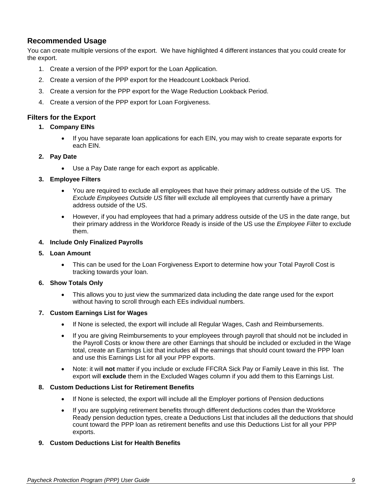### <span id="page-7-0"></span>**Recommended Usage**

You can create multiple versions of the export. We have highlighted 4 different instances that you could create for the export.

- 1. Create a version of the PPP export for the Loan Application.
- 2. Create a version of the PPP export for the Headcount Lookback Period.
- 3. Create a version for the PPP export for the Wage Reduction Lookback Period.
- 4. Create a version of the PPP export for Loan Forgiveness.

### <span id="page-7-1"></span>**Filters for the Export**

#### **1. Company EINs**

• If you have separate loan applications for each EIN, you may wish to create separate exports for each EIN.

#### **2. Pay Date**

• Use a Pay Date range for each export as applicable.

#### **3. Employee Filters**

- You are required to exclude all employees that have their primary address outside of the US. The *Exclude Employees Outside US* filter will exclude all employees that currently have a primary address outside of the US.
- However, if you had employees that had a primary address outside of the US in the date range, but their primary address in the Workforce Ready is inside of the US use the *Employee Filter* to exclude them.

#### **4. Include Only Finalized Payrolls**

- **5. Loan Amount**
	- This can be used for the Loan Forgiveness Export to determine how your Total Payroll Cost is tracking towards your loan.

#### **6. Show Totals Only**

• This allows you to just view the summarized data including the date range used for the export without having to scroll through each EEs individual numbers.

#### **7. Custom Earnings List for Wages**

- If None is selected, the export will include all Regular Wages, Cash and Reimbursements.
- If you are giving Reimbursements to your employees through payroll that should not be included in the Payroll Costs or know there are other Earnings that should be included or excluded in the Wage total, create an Earnings List that includes all the earnings that should count toward the PPP loan and use this Earnings List for all your PPP exports.
- Note: it will **not** matter if you include or exclude FFCRA Sick Pay or Family Leave in this list. The export will **exclude** them in the Excluded Wages column if you add them to this Earnings List.

### **8. Custom Deductions List for Retirement Benefits**

- If None is selected, the export will include all the Employer portions of Pension deductions
- If you are supplying retirement benefits through different deductions codes than the Workforce Ready pension deduction types, create a Deductions List that includes all the deductions that should count toward the PPP loan as retirement benefits and use this Deductions List for all your PPP exports.

### **9. Custom Deductions List for Health Benefits**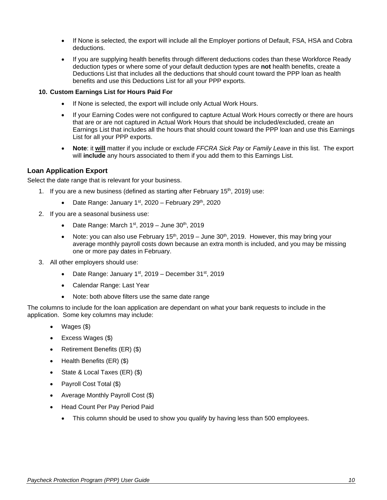- If None is selected, the export will include all the Employer portions of Default, FSA, HSA and Cobra deductions.
- If you are supplying health benefits through different deductions codes than these Workforce Ready deduction types or where some of your default deduction types are **not** health benefits, create a Deductions List that includes all the deductions that should count toward the PPP loan as health benefits and use this Deductions List for all your PPP exports.

### **10. Custom Earnings List for Hours Paid For**

- If None is selected, the export will include only Actual Work Hours.
- If your Earning Codes were not configured to capture Actual Work Hours correctly or there are hours that are or are not captured in Actual Work Hours that should be included/excluded, create an Earnings List that includes all the hours that should count toward the PPP loan and use this Earnings List for all your PPP exports.
- **Note**: it **will** matter if you include or exclude *FFCRA Sick Pay* or *Family Leave* in this list. The export will **include** any hours associated to them if you add them to this Earnings List.

### <span id="page-8-0"></span>**Loan Application Export**

Select the date range that is relevant for your business.

- 1. If you are a new business (defined as starting after February  $15<sup>th</sup>$ , 2019) use:
	- Date Range: January  $1<sup>st</sup>$ , 2020 February 29<sup>th</sup>, 2020
- 2. If you are a seasonal business use:
	- Date Range: March  $1<sup>st</sup>$ , 2019 June  $30<sup>th</sup>$ , 2019
	- Note: you can also use February  $15<sup>th</sup>$ , 2019 June 30<sup>th</sup>, 2019. However, this may bring your average monthly payroll costs down because an extra month is included, and you may be missing one or more pay dates in February.
- 3. All other employers should use:
	- Date Range: January 1<sup>st</sup>, 2019 December 31<sup>st</sup>, 2019
	- Calendar Range: Last Year
	- Note: both above filters use the same date range

The columns to include for the loan application are dependant on what your bank requests to include in the application. Some key columns may include:

- Wages (\$)
- Excess Wages (\$)
- Retirement Benefits (ER) (\$)
- Health Benefits (ER) (\$)
- State & Local Taxes (ER) (\$)
- Payroll Cost Total (\$)
- Average Monthly Payroll Cost (\$)
- <span id="page-8-1"></span>• Head Count Per Pay Period Paid
	- This column should be used to show you qualify by having less than 500 employees.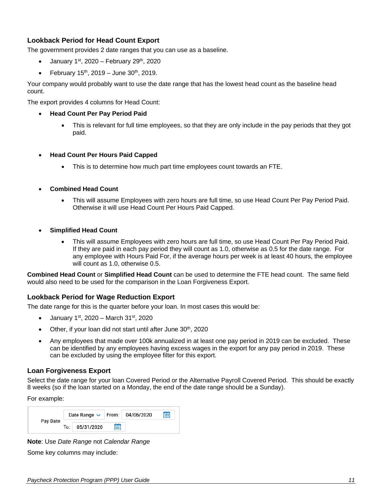### <span id="page-9-0"></span>**Lookback Period for Head Count Export**

The government provides 2 date ranges that you can use as a baseline.

- January  $1<sup>st</sup>$ , 2020 February 29<sup>th</sup>, 2020
- February  $15^{th}$ , 2019 June  $30^{th}$ , 2019.

Your company would probably want to use the date range that has the lowest head count as the baseline head count.

The export provides 4 columns for Head Count:

- **Head Count Per Pay Period Paid**
	- This is relevant for full time employees, so that they are only include in the pay periods that they got paid.
- **Head Count Per Hours Paid Capped**
	- This is to determine how much part time employees count towards an FTE.
- **Combined Head Count**
	- This will assume Employees with zero hours are full time, so use Head Count Per Pay Period Paid. Otherwise it will use Head Count Per Hours Paid Capped.
- **Simplified Head Count**
	- This will assume Employees with zero hours are full time, so use Head Count Per Pay Period Paid. If they are paid in each pay period they will count as 1.0, otherwise as 0.5 for the date range. For any employee with Hours Paid For, if the average hours per week is at least 40 hours, the employee will count as 1.0, otherwise 0.5.

**Combined Head Count** or **Simplified Head Count** can be used to determine the FTE head count. The same field would also need to be used for the comparison in the Loan Forgiveness Export.

### <span id="page-9-1"></span>**Lookback Period for Wage Reduction Export**

The date range for this is the quarter before your loan. In most cases this would be:

- January 1<sup>st</sup>, 2020 March 31<sup>st</sup>, 2020
- Other, if your loan did not start until after June 30<sup>th</sup>, 2020
- Any employees that made over 100k annualized in at least one pay period in 2019 can be excluded. These can be identified by any employees having excess wages in the export for any pay period in 2019. These can be excluded by using the employee filter for this export.

### <span id="page-9-2"></span>**Loan Forgiveness Export**

Select the date range for your loan Covered Period or the Alternative Payroll Covered Period. This should be exactly 8 weeks (so if the loan started on a Monday, the end of the date range should be a Sunday).

For example:

| Pay Date |       | Date Range $\sim$ |   | From: 04/06/2020 | 夁 |
|----------|-------|-------------------|---|------------------|---|
|          | To: I | 05/31/2020        | 當 |                  |   |

**Note**: Use *Date Range* not *Calendar Range*

Some key columns may include: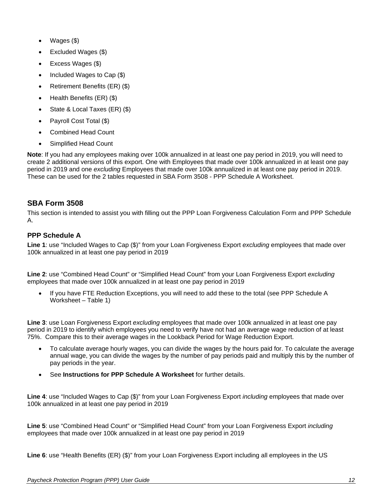- Wages (\$)
- Excluded Wages (\$)
- Excess Wages (\$)
- Included Wages to Cap (\$)
- Retirement Benefits (ER) (\$)
- Health Benefits (ER) (\$)
- State & Local Taxes (ER) (\$)
- Payroll Cost Total (\$)
- Combined Head Count
- Simplified Head Count

**Note**: If you had any employees making over 100k annualized in at least one pay period in 2019, you will need to create 2 additional versions of this export. One with Employees that made over 100k annualized in at least one pay period in 2019 and one *excluding* Employees that made over 100k annualized in at least one pay period in 2019. These can be used for the 2 tables requested in SBA Form 3508 - PPP Schedule A Worksheet.

### <span id="page-10-0"></span>**SBA Form 3508**

This section is intended to assist you with filling out the PPP Loan Forgiveness Calculation Form and PPP Schedule A.

### <span id="page-10-1"></span>**PPP Schedule A**

**Line 1**: use "Included Wages to Cap (\$)" from your [Loan Forgiveness Export](#page-9-2) *excluding* employees that made over 100k annualized in at least one pay period in 2019

**Line 2**: use "Combined Head Count" or "Simplified Head Count" from your [Loan Forgiveness Export](#page-9-2) *excluding* employees that made over 100k annualized in at least one pay period in 2019

• If you have FTE Reduction Exceptions, you will need to add these to the total (see PPP Schedule A Worksheet – Table 1)

**Line 3**: use [Loan Forgiveness Export](#page-9-2) *excluding* employees that made over 100k annualized in at least one pay period in 2019 to identify which employees you need to verify have not had an average wage reduction of at least 75%. Compare this to their average wages in the [Lookback Period for Wage Reduction Export.](#page-9-1)

- To calculate average hourly wages, you can divide the wages by the hours paid for. To calculate the average annual wage, you can divide the wages by the number of pay periods paid and multiply this by the number of pay periods in the year.
- See **Instructions for PPP Schedule A Worksheet** for further details.

**Line 4**: use "Included Wages to Cap (\$)" from your [Loan Forgiveness Export](#page-9-2) *including* employees that made over 100k annualized in at least one pay period in 2019

**Line 5**: use "Combined Head Count" or "Simplified Head Count" from your [Loan Forgiveness Export](#page-9-2) *including* employees that made over 100k annualized in at least one pay period in 2019

**Line 6**: use "Health Benefits (ER) (\$)" from your [Loan Forgiveness Export](#page-9-2) including all employees in the US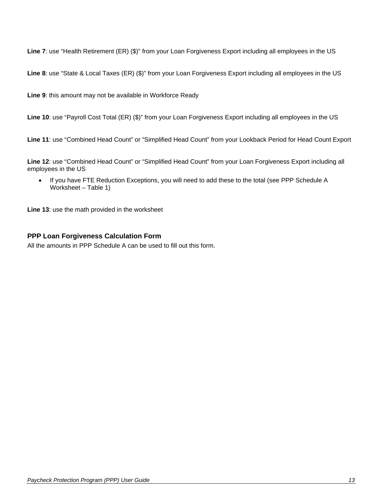**Line 7**: use "Health Retirement (ER) (\$)" from your [Loan Forgiveness Export](#page-9-2) including all employees in the US

**Line 8**: use "State & Local Taxes (ER) (\$)" from your [Loan Forgiveness Export](#page-9-2) including all employees in the US

**Line 9**: this amount may not be available in Workforce Ready

**Line 10**: use "Payroll Cost Total (ER) (\$)" from your [Loan Forgiveness Export](#page-9-2) including all employees in the US

**Line 11**: use "Combined Head Count" or "Simplified Head Count" from your [Lookback Period for Head Count Export](#page-8-1)

**Line 12**: use "Combined Head Count" or "Simplified Head Count" from your [Loan Forgiveness Export](#page-9-2) including all employees in the US

• If you have FTE Reduction Exceptions, you will need to add these to the total (see PPP Schedule A Worksheet – Table 1)

**Line 13**: use the math provided in the worksheet

### <span id="page-11-0"></span>**PPP Loan Forgiveness Calculation Form**

All the amounts in [PPP Schedule A](#page-10-1) can be used to fill out this form.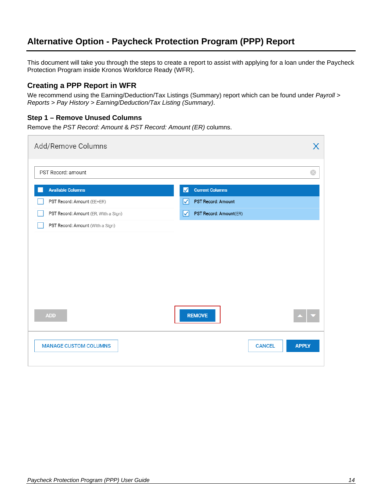# <span id="page-12-0"></span>**Alternative Option - Paycheck Protection Program (PPP) Report**

This document will take you through the steps to create a report to assist with applying for a loan under the Paycheck Protection Program inside Kronos Workforce Ready (WFR).

### <span id="page-12-1"></span>**Creating a PPP Report in WFR**

We recommend using the Earning/Deduction/Tax Listings (Summary) report which can be found under *Payroll > Reports > Pay History > Earning/Deduction/Tax Listing (Summary)*.

### <span id="page-12-2"></span>**Step 1 – Remove Unused Columns**

Remove the *PST Record: Amount* & *PST Record: Amount (ER)* columns.

| Add/Remove Columns                   | X                             |
|--------------------------------------|-------------------------------|
| PST Record: amount                   | $\odot$                       |
| <b>Available Columns</b>             | <b>Current Columns</b><br>M   |
| PST Record: Amount (EE+ER)           | PST Record: Amount<br>☑       |
| PST Record: Amount (ER, With a Sign) | PST Record: Amount(ER)<br>ы   |
| PST Record: Amount (With a Sign)     |                               |
|                                      |                               |
|                                      |                               |
|                                      |                               |
|                                      |                               |
|                                      |                               |
|                                      |                               |
| <b>ADD</b>                           | <b>REMOVE</b>                 |
|                                      |                               |
| <b>MANAGE CUSTOM COLUMNS</b>         | <b>APPLY</b><br><b>CANCEL</b> |
|                                      |                               |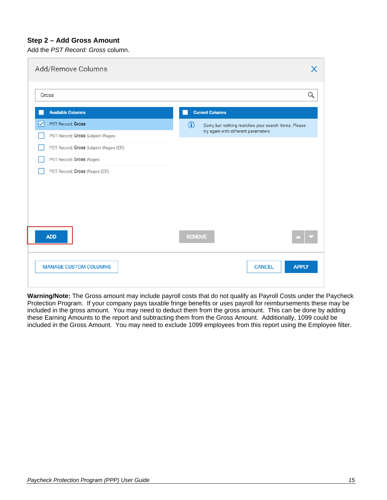### <span id="page-13-0"></span>**Step 2 – Add Gross Amount**

Add the *PST Record: Gross* column.

| Add/Remove Columns                         | X                                                                                                         |
|--------------------------------------------|-----------------------------------------------------------------------------------------------------------|
| Gross                                      | Q                                                                                                         |
| <b>Available Columns</b>                   | <b>Current Columns</b>                                                                                    |
| <b>PST Record: Gross</b><br>M              | $\bigcirc$<br>Sorry, but nothing matches your search items. Please<br>try again with different parameters |
| PST Record: Gross Subject Wages            |                                                                                                           |
| PST Record: Gross Subject Wages (ER)       |                                                                                                           |
| PST Record: Gross Wages                    |                                                                                                           |
| PST Record: Gross Wages (ER)               |                                                                                                           |
|                                            |                                                                                                           |
| <b>ADD</b><br><b>MANAGE CUSTOM COLUMNS</b> | <b>REMOVE</b><br><b>CANCEL</b><br><b>APPLY</b>                                                            |

**Warning/Note:** The Gross amount may include payroll costs that do not qualify as Payroll Costs under the Paycheck Protection Program. If your company pays taxable fringe benefits or uses payroll for reimbursements these may be included in the gross amount. You may need to deduct them from the gross amount. This can be done by adding these Earning Amounts to the report and subtracting them from the Gross Amount. Additionally, 1099 could be included in the Gross Amount. You may need to exclude 1099 employees from this report using the Employee filter.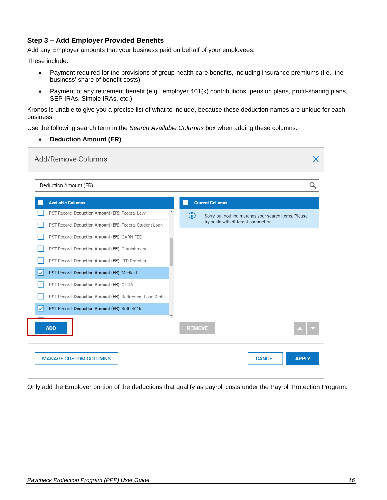### <span id="page-14-0"></span>**Step 3 – Add Employer Provided Benefits**

Add any Employer amounts that your business paid on behalf of your employees.

These include:

- Payment required for the provisions of group health care benefits, including insurance premiums (i.e., the business' share of benefit costs)
- Payment of any retirement benefit (e.g., employer 401(k) contributions, pension plans, profit-sharing plans, SEP IRAs, Simple IRAs, etc.)

Kronos is unable to give you a precise list of what to include, because these deduction names are unique for each business.

Use the following search term in the *Search Available Columns* box when adding these columns.

• **Deduction Amount (ER)**

| Add/Remove Columns                                      |                                                             |
|---------------------------------------------------------|-------------------------------------------------------------|
| Deduction Amount (ER)                                   |                                                             |
| <b>Available Columns</b>                                | <b>Current Columns</b>                                      |
| PST Record: Deduction Amount (ER): Federal Levy         | (i)<br>Sorry, but nothing matches your search items. Please |
| PST Record: Deduction Amount (ER): Federal Student Loan | try again with different parameters                         |
| PST Record: Deduction Amount (ER): GARN FEE             |                                                             |
| PST Record: Deduction Amount (ER): Garnishment          |                                                             |
| PST Record: Deduction Amount (ER): LTD Premium          |                                                             |
| PST Record: Deduction Amount (ER): Medical<br>✓         |                                                             |
| PST Record: Deduction Amount (ER): QHRA                 |                                                             |
| PST Record: Deduction Amount (ER): Retirement Loan Dedu |                                                             |
| M<br>PST Record: Deduction Amount (ER): Roth 401k       |                                                             |
| <b>ADD</b>                                              | <b>REMOVE</b>                                               |
| <b>MANAGE CUSTOM COLUMNS</b>                            | <b>CANCEL</b><br><b>APPLY</b>                               |

Only add the Employer portion of the deductions that qualify as payroll costs under the Payroll Protection Program.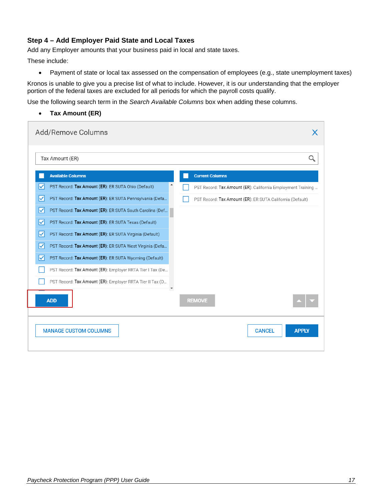### <span id="page-15-0"></span>**Step 4 – Add Employer Paid State and Local Taxes**

Add any Employer amounts that your business paid in local and state taxes.

These include:

• Payment of state or local tax assessed on the compensation of employees (e.g., state unemployment taxes)

Kronos is unable to give you a precise list of what to include. However, it is our understanding that the employer portion of the federal taxes are excluded for all periods for which the payroll costs qualify.

Use the following search term in the *Search Available Columns* box when adding these columns.

• **Tax Amount (ER)**

| Add/Remove Columns                                             |                                                             |
|----------------------------------------------------------------|-------------------------------------------------------------|
| Tax Amount (ER)                                                |                                                             |
| <b>Available Columns</b>                                       | <b>Current Columns</b>                                      |
| PST Record: Tax Amount (ER): ER SUTA Ohio (Default)<br>∨       | PST Record: Tax Amount (ER): California Employment Training |
| PST Record: Tax Amount (ER): ER SUTA Pennsylvania (Defa<br>∨   | PST Record: Tax Amount (ER): ER SUTA California (Default)   |
| ∣✓<br>PST Record: Tax Amount (ER): ER SUTA South Carolina (Def |                                                             |
| PST Record: Tax Amount (ER): ER SUTA Texas (Default)<br>V      |                                                             |
| ∣✓<br>PST Record: Tax Amount (ER): ER SUTA Virginia (Default)  |                                                             |
| PST Record: Tax Amount (ER): ER SUTA West Virginia (Defa<br>∣✓ |                                                             |
| PST Record: Tax Amount (ER): ER SUTA Wyoming (Default)<br>∨    |                                                             |
| PST Record: Tax Amount (ER): Employer RRTA Tier I Tax (De      |                                                             |
| PST Record: Tax Amount (ER): Employer RRTA Tier II Tax (D      |                                                             |
| <b>ADD</b>                                                     | <b>REMOVE</b>                                               |
| <b>MANAGE CUSTOM COLUMNS</b>                                   | <b>APPLY</b><br><b>CANCEL</b>                               |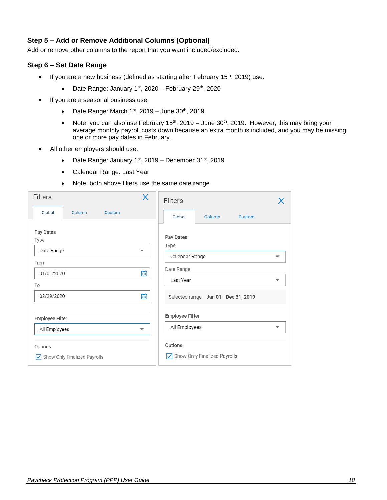### <span id="page-16-0"></span>**Step 5 – Add or Remove Additional Columns (Optional)**

Add or remove other columns to the report that you want included/excluded.

### <span id="page-16-1"></span>**Step 6 – Set Date Range**

- If you are a new business (defined as starting after February 15<sup>th</sup>, 2019) use:
	- Date Range: January  $1<sup>st</sup>$ , 2020 February 29<sup>th</sup>, 2020
- If you are a seasonal business use:
	- Date Range: March  $1<sup>st</sup>$ , 2019 June 30<sup>th</sup>, 2019
	- Note: you can also use February  $15<sup>th</sup>$ , 2019 June  $30<sup>th</sup>$ , 2019. However, this may bring your average monthly payroll costs down because an extra month is included, and you may be missing one or more pay dates in February.
- All other employers should use:
	- Date Range: January  $1<sup>st</sup>$ , 2019 December 31 $<sup>st</sup>$ , 2019</sup>
	- Calendar Range: Last Year
	- Note: both above filters use the same date range

| <b>Filters</b>                  | X                        | <b>Filters</b>                       |   |
|---------------------------------|--------------------------|--------------------------------------|---|
| Global<br>Column<br>Custom      |                          | Global<br>Column<br>Custom           |   |
| Pay Dates<br>Type<br>Date Range | ▼                        | Pay Dates<br>Type                    |   |
| From                            |                          | Calendar Range                       | ▼ |
| 01/01/2020                      | Ë                        | Date Range                           |   |
| To                              |                          | Last Year                            | ▼ |
| 02/29/2020                      | 當                        | Selected range Jan 01 - Dec 31, 2019 |   |
| Employee Filter                 |                          | Employee Filter                      |   |
| All Employees                   | $\overline{\phantom{a}}$ | All Employees                        |   |
| Options                         |                          | Options                              |   |
| √ Show Only Finalized Payrolls  |                          | Show Only Finalized Payrolls         |   |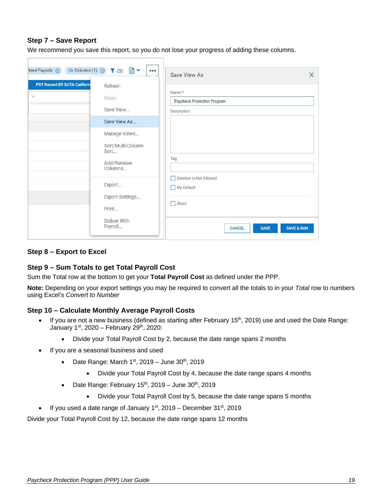### <span id="page-17-0"></span>**Step 7 – Save Report**

We recommend you save this report, so you do not lose your progress of adding these columns.

| lized Payrolls (x)                  | $\overline{m}$ Columns (1) $\otimes$ (3) $\overline{m}$ $\bullet$<br>1111 | Save View As<br>$\times$                              |
|-------------------------------------|---------------------------------------------------------------------------|-------------------------------------------------------|
| <b>PST Record ER SUTA Californi</b> | Refresh                                                                   |                                                       |
| $\equiv$                            | Reset                                                                     | Name *                                                |
|                                     |                                                                           | Paycheck Protection Program                           |
|                                     | Save View                                                                 | Description                                           |
|                                     | Save View As                                                              |                                                       |
|                                     | Manage Views                                                              |                                                       |
|                                     | Sort/Multi-Column<br>Sort                                                 |                                                       |
|                                     | Add/Remove<br>Columns                                                     | Tag                                                   |
|                                     | Export                                                                    | Deletion Is Not Allowed<br>П<br>My Default            |
|                                     | Export Settings<br>Print                                                  | $\Box$ Share                                          |
|                                     | Deliver With<br>Payroll                                                   | <b>SAVE &amp; RUN</b><br><b>SAVE</b><br><b>CANCEL</b> |

### <span id="page-17-1"></span>**Step 8 – Export to Excel**

### <span id="page-17-2"></span>**Step 9 – Sum Totals to get Total Payroll Cost**

Sum the Total row at the bottom to get your **Total Payroll Cost** as defined under the PPP.

**Note:** Depending on your export settings you may be required to convert all the totals to in your *Total* row to numbers using Excel's *Convert to Number*

### <span id="page-17-3"></span>**Step 10 – Calculate Monthly Average Payroll Costs**

- If you are not a new business (defined as starting after February 15<sup>th</sup>, 2019) use and used the Date Range: January  $1<sup>st</sup>$ , 2020 – February 29<sup>th</sup>, 2020:
	- Divide your Total Payroll Cost by 2, because the date range spans 2 months
- If you are a seasonal business and used
	- Date Range: March  $1<sup>st</sup>$ , 2019 June 30<sup>th</sup>, 2019
		- Divide your Total Payroll Cost by 4, because the date range spans 4 months
	- Date Range: February  $15<sup>th</sup>$ , 2019 June  $30<sup>th</sup>$ , 2019
		- Divide your Total Payroll Cost by 5, because the date range spans 5 months
- If you used a date range of January  $1<sup>st</sup>$ , 2019 December  $31<sup>st</sup>$ , 2019

Divide your Total Payroll Cost by 12, because the date range spans 12 months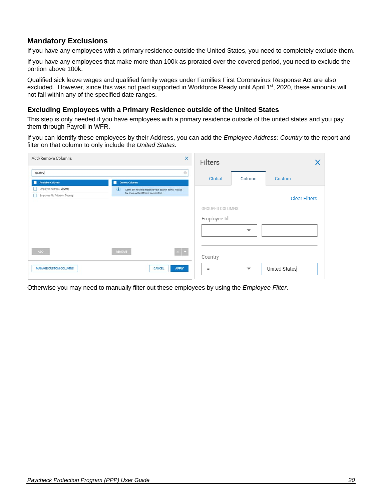### <span id="page-18-0"></span>**Mandatory Exclusions**

If you have any employees with a primary residence outside the United States, you need to completely exclude them.

If you have any employees that make more than 100k as prorated over the covered period, you need to exclude the portion above 100k.

Qualified sick leave wages and qualified family wages under Families First Coronavirus Response Act are also excluded. However, since this was not paid supported in Workforce Ready until April 1<sup>st</sup>, 2020, these amounts will not fall within any of the specified date ranges.

### <span id="page-18-1"></span>**Excluding Employees with a Primary Residence outside of the United States**

This step is only needed if you have employees with a primary residence outside of the united states and you pay them through Payroll in WFR.

If you can identify these employees by their Address, you can add the *Employee Address: Country* to the report and filter on that column to only include the *United States*.

| Add/Remove Columns                                          | $\times$                                                                                               | Filters                |                          |                      |
|-------------------------------------------------------------|--------------------------------------------------------------------------------------------------------|------------------------|--------------------------|----------------------|
| country<br><b>Available Columns</b><br>п                    | ø<br><b>Current Columns</b>                                                                            | Global                 | Column                   | Custom               |
| Employee Address: Country<br>Employee Alt. Address: Country | $\odot$<br>Sorry, but nothing matches your search items. Please<br>try again with different parameters |                        |                          | <b>Clear Filters</b> |
|                                                             |                                                                                                        | <b>GROUPED COLUMNS</b> |                          |                      |
|                                                             |                                                                                                        | Employee Id            |                          |                      |
|                                                             |                                                                                                        | $=$                    | $\overline{\phantom{a}}$ |                      |
| ADD                                                         | $\sim$ $\sim$<br><b>REMOVE</b>                                                                         | Country                |                          |                      |
| <b>MANAGE CUSTOM COLUMNS</b>                                | <b>APPLY</b><br>CANCEL                                                                                 | Ξ                      | $\overline{\phantom{0}}$ | <b>United States</b> |

Otherwise you may need to manually filter out these employees by using the *Employee Filter*.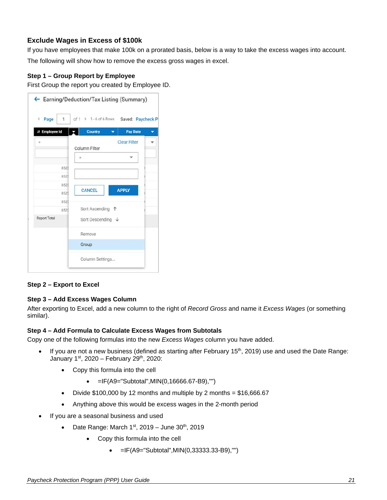### <span id="page-19-0"></span>**Exclude Wages in Excess of \$100k**

If you have employees that make 100k on a prorated basis, below is a way to take the excess wages into account.

The following will show how to remove the excess gross wages in excel.

### <span id="page-19-1"></span>**Step 1 – Group Report by Employee**

First Group the report you created by Employee ID.

| Page<br>1<br>¢ | of $1 \cdot 1 - 6$ of 6 Rows | Saved: Paycheck P   |  |
|----------------|------------------------------|---------------------|--|
| # Employee Id  | <b>Country</b>               | <b>Pay Date</b>     |  |
| $\equiv$       |                              | <b>Clear Filter</b> |  |
|                | Column Filter                |                     |  |
|                | Ξ                            | ÷                   |  |
| 8523           |                              |                     |  |
| 8523           |                              |                     |  |
| 852            |                              |                     |  |
| 8523           | <b>CANCEL</b>                | <b>APPLY</b>        |  |
| 8523           |                              |                     |  |
| 8523           | Sort Ascending 个             |                     |  |
| Report Total   | Sort Descending $\downarrow$ |                     |  |
|                | Remove                       |                     |  |
|                | Group                        |                     |  |
|                | Column Settings              |                     |  |

### <span id="page-19-2"></span>**Step 2 – Export to Excel**

### <span id="page-19-3"></span>**Step 3 – Add Excess Wages Column**

After exporting to Excel, add a new column to the right of *Record Gross* and name it *Excess Wages* (or something similar).

#### <span id="page-19-4"></span>**Step 4 – Add Formula to Calculate Excess Wages from Subtotals**

Copy one of the following formulas into the new *Excess Wages* column you have added.

- If you are not a new business (defined as starting after February 15<sup>th</sup>, 2019) use and used the Date Range: January  $1^{st}$ , 2020 – February 29<sup>th</sup>, 2020:
	- Copy this formula into the cell
		- $\bullet$  =IF(A9="Subtotal", MIN(0,16666.67-B9),"")
	- Divide  $$100,000$  by 12 months and multiple by 2 months =  $$16,666.67$
	- Anything above this would be excess wages in the 2-month period
- If you are a seasonal business and used
	- Date Range: March  $1<sup>st</sup>$ , 2019 June  $30<sup>th</sup>$ , 2019
		- Copy this formula into the cell
			- $\bullet$  =IF(A9="Subtotal", MIN(0,33333.33-B9),"")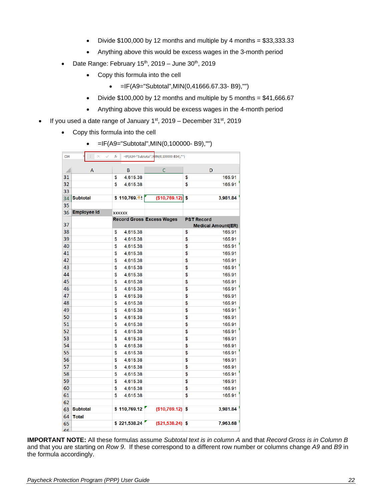- Divide  $$100,000$  by 12 months and multiple by 4 months =  $$33,333.33$
- Anything above this would be excess wages in the 3-month period
- Date Range: February  $15<sup>th</sup>$ , 2019 June  $30<sup>th</sup>$ , 2019
	- Copy this formula into the cell
		- $\bullet$  =IF(A9="Subtotal", MIN(0,41666.67.33-B9),"")
	- Divide  $$100,000$  by 12 months and multiple by 5 months =  $$41,666.67$
	- Anything above this would be excess wages in the 4-month period
- If you used a date range of January  $1<sup>st</sup>$ , 2019 December  $31<sup>st</sup>$ , 2019
	- Copy this formula into the cell

|  | =IF(A9="Subtotal", MIN(0,100000-B9),"") |  |
|--|-----------------------------------------|--|
|--|-----------------------------------------|--|

| C <sub>34</sub> | $\times$<br>$\checkmark$ | fx             | =IF(A34="Subtotal",NIIN(0,100000-B34),"") |                   |                           |
|-----------------|--------------------------|----------------|-------------------------------------------|-------------------|---------------------------|
|                 |                          |                |                                           |                   |                           |
|                 | A                        | B              | C                                         | D                 |                           |
| 31              |                          | 4,615.38<br>\$ |                                           | \$                | 165.91                    |
| 32              |                          | \$<br>4,615.38 |                                           | \$                | 165.91                    |
| 33              |                          |                |                                           |                   |                           |
| 34              | <b>Subtotal</b>          | \$110,769.     | (\$10,769.12)                             | \$                | 3,981.84                  |
| 35              |                          |                |                                           |                   |                           |
| 36              | <b>Employee Id</b>       | <b>XXXXXX</b>  |                                           |                   |                           |
| 37              |                          |                | <b>Record Gross Excess Wages</b>          | <b>PST Record</b> | <b>Medical Amount(ER)</b> |
| 38              |                          | 4,615.38<br>\$ |                                           | \$                | 165.91                    |
| 39              |                          | \$<br>4,615.38 |                                           | \$                | 165.91                    |
| 40              |                          | \$<br>4,615.38 |                                           | \$                | 165.91                    |
| 41              |                          | \$<br>4,615.38 |                                           | \$                | 165.91                    |
| 42              |                          | \$<br>4,615.38 |                                           | \$                | 165.91                    |
| 43              |                          | \$<br>4,615.38 |                                           | \$                | 165.91                    |
| 44              |                          | \$<br>4,615.38 |                                           | \$                | 165.91                    |
| 45              |                          | \$             |                                           | \$                | 165.91                    |
| 46              |                          | 4,615.38<br>\$ |                                           | \$                | 165.91                    |
| 47              |                          | 4,615.38       |                                           |                   |                           |
|                 |                          | \$<br>4,615.38 |                                           | \$                | 165.91                    |
| 48              |                          | \$<br>4,615.38 |                                           | \$                | 165.91                    |
| 49              |                          | \$<br>4,615.38 |                                           | \$                | 165.91                    |
| 50              |                          | \$<br>4,615.38 |                                           | \$                | 165.91                    |
| 51<br>52        |                          | \$<br>4,615.38 |                                           | \$                | 165.91                    |
|                 |                          | \$<br>4,615.38 |                                           | \$                | 165.91                    |
| 53              |                          | \$<br>4,615.38 |                                           | \$                | 165.91                    |
| 54              |                          | \$<br>4,615.38 |                                           | \$                | 165.91                    |
| 55              |                          | \$<br>4,615.38 |                                           | \$                | 165.91                    |
| 56              |                          | \$<br>4,615.38 |                                           | \$                | 165.91                    |
| 57              |                          | \$<br>4,615.38 |                                           | \$                | 165.91                    |
| 58              |                          | \$<br>4,615.38 |                                           | \$                | 165.91                    |
| 59              |                          | \$<br>4,615.38 |                                           | \$                | 165.91                    |
| 60              |                          | \$<br>4,615.38 |                                           | \$                | 165.91                    |
| 61              |                          | \$<br>4,615.38 |                                           | \$                | 165.91                    |
| 62              |                          |                |                                           |                   |                           |
| 63              | <b>Subtotal</b>          | \$110,769.12   | (\$10,769.12)                             | \$                | 3,981.84                  |
| 64              | <b>Total</b>             |                |                                           |                   |                           |
| 65              |                          | \$221,538.24   | (\$21,538.24)                             | \$                | 7,963.68                  |
| <b>ΓΓ</b>       |                          |                |                                           |                   |                           |

**IMPORTANT NOTE:** All these formulas assume *Subtotal text is in column A* and that *Record Gross is in Column B* and that you are starting on *Row 9*. If these correspond to a different row number or columns change *A9* and *B9* in the formula accordingly.